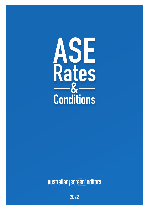

australian screen editors

2022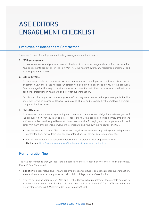# **ASE EDITORS ENGAGEMENT CHECKLIST**

## **Employee or Independent Contractor?**

There are 3 types of employment/contracting arrangements in the industry:

#### **1. PAYG (pay as you go):**

You are an employee and your employer withholds tax from your earnings and sends it to the tax office. Your entitlements are set out in the Fair Work Act, the relevant award, any registered agreement, and your employment contract.

#### **2. Sole trader/ABN:**

You are responsible for your own tax. Your status as an 'employee' or 'contractor' is a matter of common law and is not necessarily determined by how it is described by you or the producer. People engaged in this way to provide services in connection with film, or television broadcast have additional protections in relation to eligibility for superannuation.

As this kind of arrangement can be a 'grey area' you may want to ensure that you have public liability and other forms of insurance. However you may be eligible to be covered by the employer's workers' compensation insurance.

#### **3. Pty Ltd Company:**

Your company is a separate legal entity and there are no employment obligations between you and the producer, however you may be able to negotiate that the contract include normal employment entitlements like overtime, paid leave, etc. You are responsible for paying your own superannuation and other minimum entitlements, as well as the company's and your own individual tax, and GST.

- Just because you have an ABN, or issue invoices, does not automatically make you an independent contractor. Seek advice from your tax accountant/financial advisor before you negotiate.
- For ATO online tools that assist with determining the status of your engagement visit: **Contractors** <https://www.fairwork.gov.au/find-help-for/independent-contractors>

## **Remuneration/fee**

The ASE recommends that you negotiate an agreed hourly rate based on the level of your experience. (*See ASE Rate Card below*)

- **In addition** to a base rate, all Editors who are employees are entitled to compensation for superannuation, leave entitlements, overtime payments, paid public holidays, notice of termination.
- If you're working as a Contractor, (ABN or a PTY Ltd Company) you must factor these entitlements in to your base contractual rate. For Pty Ltd Companies add an additional 17.5% – 30% depending on circumstances. (*See ASE Recommended Rates and Conditions*)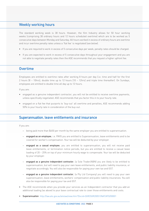# **Weekly working hours**

The standard working week is 38 hours. However, the film Industry allows for 50 hour working weeks (comprising 38 ordinary hours and 12 hours scheduled overtime) which are to be worked as 5 consecutive days between Monday and Saturday. All hours worked in excess of ordinary hours are overtime and incur overtime penalty rates unless a 'flat fee' is negotiated (*see below*).

- If you are required to work in excess of 5 consecutive days per week, penalty rates should be charged.
- If you are expected to work in excess of 5 consecutive days throughout your engagement and you are not able to negotiate penalty rates then the ASE recommends that you request a higher upfront fee.

# **Overtime**

Employees are entitled to overtime rates after working 8 hours per day (i.e. time and half for the first 2 hours [8 – 10hrs]; double time up to 12 hours [10 – 12hrs] and triple time thereafter). On Sundays, employees are entitled to double time all day up to 12 hours.

If you are:

- engaged as a genuine independent contractor, you will not be entitled to receive overtime payments, unless specifically negotiated. ASE recommends that you factor this in to your hourly rate.
- engaged on a flat fee that purports to 'buy-out' all overtime and penalties, ASE recommends adding 50% to your hourly rate in consideration of the buy-out.

#### **Superannuation, leave entitlements and insurance**

If you are:

- being paid more than \$450 per month by the same employer you are entitled to superannuation.
- **engaged as an employee**, i.e. PAYG you are entitled to Superannuation, leave entitlements and to be covered for worker's compensation. Your tax will be deducted by your employer.
- **engaged as a casual employee**, you are entitled to superannuation, you will not receive paid leave entitlements, or termination notice periods, but you are entitled to receive a casual leave loading of 20 – 25% on top of your minimum hourly wage to compensate. Your tax will be deducted by your employer.
- **engaged as a genuine independent contractor**, (a Sole Trader/ABN) you are likely to be entitled to superannuation, but will need to pay your own leave entitlements, and public liability insurance, or negotiate accordingly. You will also be responsible for paying your own tax and GST.
- **engaged as a genuine independent contractor**, (a Pty Ltd Company) you will need to pay your own superannuation, leave entitlements, workers' compensation and public liability insurances. You will also be responsible for paying your tax and GST.
- The ASE recommends when you provide your services as an Independent contractor that you add an additional loading (as above) to your base contractual rate to cover those entitlements and costs.
- **Superannuation** <http://law.ato.gov.au/atolaw/view.htm?Docid=SGR/SGR20051/NAT/ATO/00001>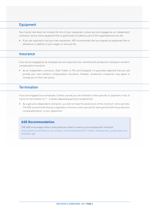# **Equipment**

Your hourly rate does not include the hire of your equipment unless you are engaged as an independent contractor and an extra equipment fee is specifically included as part of the negotiated services fee.

• If you are required to use your own equipment, ASE recommends that you request an equipment fee or allowance in addition to your wages or services fee.

#### **Insurance**

If you are an engaged as an employee you are required to be covered by the production company's workers' compensation insurance.

• As an independent contractor, (Sole Trader or Pty Ltd Company) it is generally expected that you will provide your own workers' compensation insurance, however, production companies may agree to include you in their own policy.

## **Termination**

If you are engaged as an employee, (unless casual) you are entitled to notice periods or payment in lieu of notice for termination of 1 – 4 weeks depending period of employment.

• As a genuine independent contractor, you will not have the protections of the minimum notice periods. The ASE recommends that you negotiate a minimum notice period (for both parties) with the production company/producer in your agreement.

#### ASE Recommendation

THE ASE encourages editors and producers alike to read our pre-employment checklist. [http://www.screeneditors.com.au/wp-content/uploads/2011/12/pre-employment\\_postproduction\\_](http://www.screeneditors.com.au/wp-content/uploads/2011/12/pre-employment_postproduction_checklist1.pdf) [checklist1.pdf](http://www.screeneditors.com.au/wp-content/uploads/2011/12/pre-employment_postproduction_checklist1.pdf)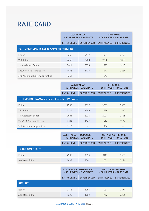# **RATE CARD**

|                                                   | <b>AUSTRALIAN</b><br>$-50$ HR WEEK $-$ BASE RATE |                    | <b>OFFSHORE</b><br>$-50$ HR WEEK $-$ BASE RATE |                    |  |
|---------------------------------------------------|--------------------------------------------------|--------------------|------------------------------------------------|--------------------|--|
|                                                   | <b>ENTRY LEVEL</b>                               | <b>EXPERIENCED</b> | <b>ENTRY LEVEL</b>                             | <b>EXPERIENCED</b> |  |
| <b>FEATURE FILMS (includes Animated Features)</b> |                                                  |                    |                                                |                    |  |
| Editor                                            | 3352                                             | 4447               | 4447                                           | 7783               |  |
| <b>VFX Editor</b>                                 | 2458                                             | 2780               | 2780                                           | 3335               |  |
| 1st Assistant Editor                              | 2011                                             | 2558               | 2775                                           | 3113               |  |
| 2nd/VFX Assistant Editor                          | 1453                                             | 1779               | 1647                                           | 2224               |  |
| 3rd Assistant Editor/Apprentice                   | 1341                                             |                    | 1446                                           |                    |  |

|                                                      | <b>AUSTRALIAN</b><br>- 50 HR WEEK - BASE RATE |                    | <b>OFFSHORE</b><br>$-50$ HR WEEK $-$ BASE RATE |                    |  |
|------------------------------------------------------|-----------------------------------------------|--------------------|------------------------------------------------|--------------------|--|
|                                                      | <b>ENTRY LEVEL</b>                            | <b>EXPERIENCED</b> | <b>ENTRY LEVEL</b>                             | <b>EXPERIENCED</b> |  |
| <b>TELEVISION DRAMA (includes Animated TV Drama)</b> |                                               |                    |                                                |                    |  |
| Editor                                               | 2780                                          | 3892               | 3335                                           | 5559               |  |
| <b>VFX Editor</b>                                    | 2224                                          | 2780               | 2780                                           | 3335               |  |
| 1st Assistant Editor                                 | 2001                                          | 2224               | 2001                                           | 2446               |  |
| 2nd/VFX Assistant Editor                             | 1334                                          | 1647               | 1446                                           | 1779               |  |
| 3rd Assistant/Apprentice                             | 1112                                          |                    | 1334                                           |                    |  |

|                       | <b>AUSTRALIAN INDEPENDENT</b><br>$-50$ HR WEEK $-$ BASE RATE<br><b>EXPERIENCED</b><br><b>ENTRY LEVEL</b> |      | NETWORK/OFFSHORE<br>$-50$ HR WEEK $-$ BASE RATE |                    |
|-----------------------|----------------------------------------------------------------------------------------------------------|------|-------------------------------------------------|--------------------|
|                       |                                                                                                          |      | <b>ENTRY LEVEL</b>                              | <b>EXPERIENCED</b> |
| <b>TV DOCUMENTARY</b> |                                                                                                          |      |                                                 |                    |
| Editor                | 2780                                                                                                     | 3335 | 3113                                            | 3558               |
| Assistant Editor      | 1668                                                                                                     | 2001 | 2001                                            | 2446               |

|                  | <b>AUSTRALIAN INDEPENDENT</b><br>- 50 HR WEEK - BASE RATE |                    | NETWORK/OFFSHORE<br>$-50$ HR WEEK $-$ BASE RATE |                    |
|------------------|-----------------------------------------------------------|--------------------|-------------------------------------------------|--------------------|
|                  | <b>ENTRY LEVEL</b>                                        | <b>EXPERIENCED</b> | <b>ENTRY LEVEL</b>                              | <b>EXPERIENCED</b> |
| <b>REALITY</b>   |                                                           |                    |                                                 |                    |
| Editor           | 2712                                                      | 3254               | 3037                                            | 3471               |
| Assistant Editor | 1628                                                      | 1952               | 1952                                            | 2386               |